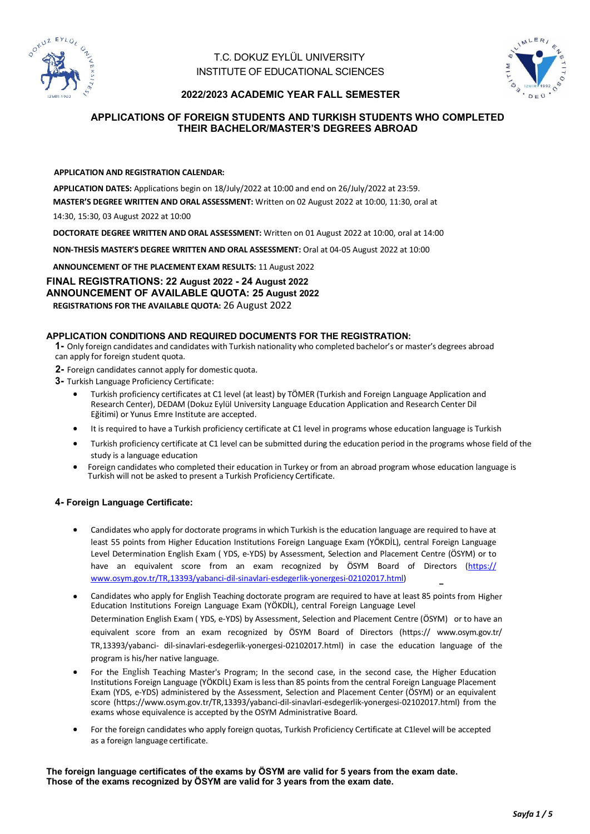

# T.C. DOKUZ EYLÜL UNIVERSITY INSTITUTE OF EDUCATIONAL SCIENCES



## **2022/2023 ACADEMIC YEAR FALL SEMESTER**

## **APPLICATIONS OF FOREIGN STUDENTS AND TURKISH STUDENTS WHO COMPLETED THEIR BACHELOR/MASTER'S DEGREES ABROAD**

#### **APPLICATION AND REGISTRATION CALENDAR:**

**APPLICATION DATES:** Applications begin on 18/July/2022 at 10:00 and end on 26/July/2022 at 23:59.

**MASTER'S DEGREE WRITTEN AND ORAL ASSESSMENT:** Written on 02 August 2022 at 10:00, 11:30, oral at

14:30, 15:30, 03 August 2022 at 10:00

**DOCTORATE DEGREE WRITTEN AND ORAL ASSESSMENT:** Written on 01 August 2022 at 10:00, oral at 14:00

**NON-THESİS MASTER'S DEGREE WRITTEN AND ORAL ASSESSMENT:** Oral at 04-05 August 2022 at 10:00

**ANNOUNCEMENT OF THE PLACEMENT EXAM RESULTS:** 11 August 2022

**FINAL REGISTRATIONS: 22 August 2022 - 24 August 2022 ANNOUNCEMENT OF AVAILABLE QUOTA: 25 August 2022 REGISTRATIONS FOR THE AVAILABLE QUOTA:** 26 August 2022

## **APPLICATION CONDITIONS AND REQUIRED DOCUMENTS FOR THE REGISTRATION:**

**1-** Only foreign candidates and candidates with Turkish nationality who completed bachelor's or master's degrees abroad can apply for foreign student quota.

**2-** Foreign candidates cannot apply for domestic quota.

**3-** Turkish Language Proficiency Certificate:

- Turkish proficiency certificates at C1 level (at least) by TÖMER (Turkish and Foreign Language Application and Research Center), DEDAM (Dokuz Eylül University Language Education Application and Research Center Dil Eğitimi) or Yunus Emre Institute are accepted.
- It is required to have a Turkish proficiency certificate at C1 level in programs whose education language is Turkish
- Turkish proficiency certificate at C1 level can be submitted during the education period in the programs whose field of the study is a language education
- Foreign candidates who completed their education in Turkey or from an abroad program whose education language is Turkish will not be asked to present a Turkish Proficiency Certificate.

## **4- Foreign Language Certificate:**

- Candidates who apply for doctorate programs in which Turkish is the education language are required to have at least 55 points from Higher Education Institutions Foreign Language Exam (YÖKDİL), central Foreign Language Level Determination English Exam ( YDS, e-YDS) by Assessment, Selection and Placement Centre (ÖSYM) or to have an equivalent score from an exam recognized by ÖSYM Board of Directors (https:// www.osym.gov.tr/TR,13393/yabanci-dil-sinavlari-esdegerlik-yonergesi-02102017.html)
- Candidates who apply for English Teaching doctorate program are required to have at least 85 points from Higher Education Institutions Foreign Language Exam (YÖKDİL), central Foreign Language Level Determination English Exam ( YDS, e-YDS) by Assessment, Selection and Placement Centre (ÖSYM) or to have an equivalent score from an exam recognized by ÖSYM Board of Directors (https:// www.osym.gov.tr/ TR,13393/yabanci- dil-sinavlari-esdegerlik-yonergesi-02102017.html) in case the education language of the program is his/her native language.
- For the English Teaching Master's Program; In the second case, in the second case, the Higher Education Institutions Foreign Language (YÖKDİL) Exam is less than 85 points from the central Foreign Language Placement Exam (YDS, e-YDS) administered by the Assessment, Selection and Placement Center (ÖSYM) or an equivalent score (https://www.osym.gov.tr/TR,13393/yabanci-dil-sinavlari-esdegerlik-yonergesi-02102017.html) from the exams whose equivalence is accepted by the OSYM Administrative Board.
- For the foreign candidates who apply foreign quotas, Turkish Proficiency Certificate at C1level will be accepted as a foreign language certificate.

**The foreign language certificates of the exams by ÖSYM are valid for 5 years from the exam date. Those of the exams recognized by ÖSYM are valid for 3 years from the exam date.**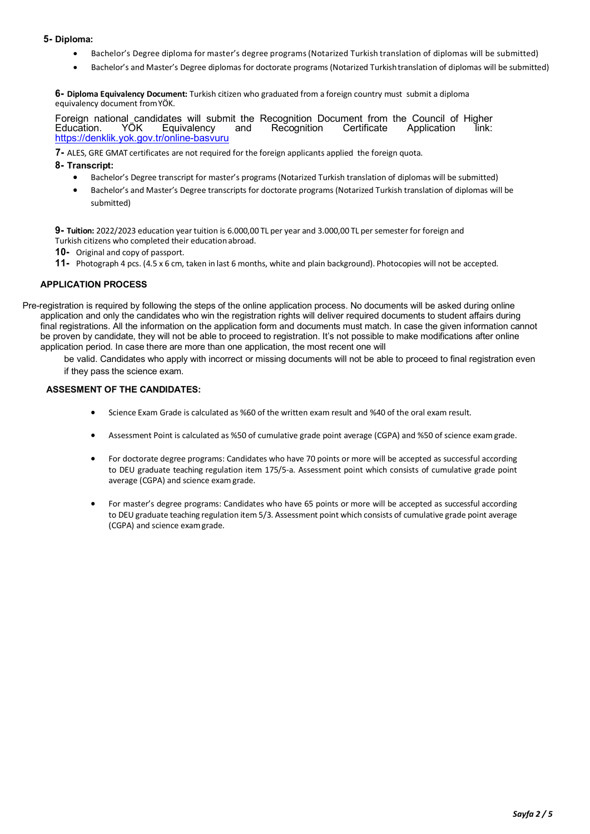### **5- Diploma:**

- Bachelor's Degree diploma for master's degree programs(Notarized Turkish translation of diplomas will be submitted)
- Bachelor's and Master's Degree diplomas for doctorate programs (Notarized Turkishtranslation of diplomas will be submitted)

**6- Diploma Equivalency Document:** Turkish citizen who graduated from a foreign country must submit a diploma equivalency document fromYÖK.

Foreign national candidates will submit the Recognition Document from the Council of Higher<br>Education. YÖK Equivalency and Recognition Certificate Application link: Equivalency https://denklik.yok.gov.tr/online-basvuru

**7-** ALES, GRE GMAT certificates are not required for the foreign applicants applied the foreign quota.

#### **8- Transcript:**

- Bachelor's Degree transcript for master's programs (Notarized Turkish translation of diplomas will be submitted)
- Bachelor's and Master's Degree transcripts for doctorate programs (Notarized Turkish translation of diplomas will be submitted)

**9- Tuition:** 2022/2023 education year tuition is 6.000,00 TL per year and 3.000,00 TL per semester for foreign and Turkish citizens who completed their education abroad.

**10-** Original and copy of passport.

**11-** Photograph 4 pcs. (4.5 x 6 cm, taken in last 6 months, white and plain background). Photocopies will not be accepted.

#### **APPLICATION PROCESS**

Pre-registration is required by following the steps of the online application process. No documents will be asked during online application and only the candidates who win the registration rights will deliver required documents to student affairs during final registrations. All the information on the application form and documents must match. In case the given information cannot be proven by candidate, they will not be able to proceed to registration. It's not possible to make modifications after online application period. In case there are more than one application, the most recent one will

be valid. Candidates who apply with incorrect or missing documents will not be able to proceed to final registration even if they pass the science exam.

#### **ASSESMENT OF THE CANDIDATES:**

- Science Exam Grade is calculated as %60 of the written exam result and %40 of the oral exam result.
- Assessment Point is calculated as %50 of cumulative grade point average (CGPA) and %50 of science examgrade.
- For doctorate degree programs: Candidates who have 70 points or more will be accepted as successful according to DEU graduate teaching regulation item 175/5-a. Assessment point which consists of cumulative grade point average (CGPA) and science examgrade.
- For master's degree programs: Candidates who have 65 points or more will be accepted as successful according to DEU graduate teaching regulation item 5/3. Assessment point which consists of cumulative grade point average (CGPA) and science examgrade.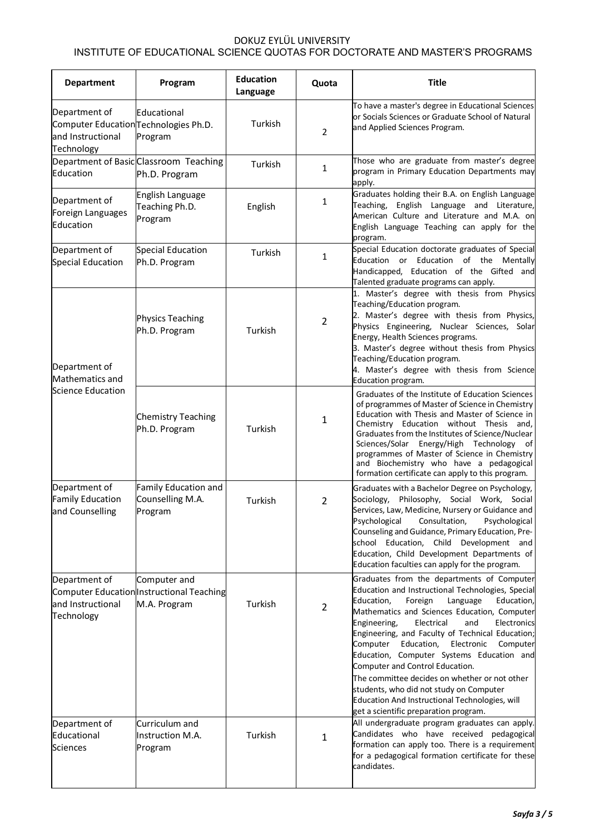# DOKUZ EYLÜL UNIVERSITY

# INSTITUTE OF EDUCATIONAL SCIENCE QUOTAS FOR DOCTORATE AND MASTER'S PROGRAMS

| <b>Department</b>                                                                          | Program                                                                   | <b>Education</b><br>Language | Quota          | <b>Title</b>                                                                                                                                                                                                                                                                                                                                                                                                                                                                                                                                                                                                                          |
|--------------------------------------------------------------------------------------------|---------------------------------------------------------------------------|------------------------------|----------------|---------------------------------------------------------------------------------------------------------------------------------------------------------------------------------------------------------------------------------------------------------------------------------------------------------------------------------------------------------------------------------------------------------------------------------------------------------------------------------------------------------------------------------------------------------------------------------------------------------------------------------------|
| Department of<br>Computer Education Technologies Ph.D.<br>land Instructional<br>Technology | Educational<br>Program                                                    | Turkish                      | $\overline{2}$ | To have a master's degree in Educational Sciences<br>or Socials Sciences or Graduate School of Natural<br>and Applied Sciences Program.                                                                                                                                                                                                                                                                                                                                                                                                                                                                                               |
| Education                                                                                  | Department of Basic Classroom Teaching<br>Ph.D. Program                   | Turkish                      | 1              | Those who are graduate from master's degree<br>program in Primary Education Departments may<br>apply.                                                                                                                                                                                                                                                                                                                                                                                                                                                                                                                                 |
| Department of<br>Foreign Languages<br>Education                                            | English Language<br>Teaching Ph.D.<br>Program                             | English                      | 1              | Graduates holding their B.A. on English Language<br>Teaching, English Language and Literature,<br>American Culture and Literature and M.A. on<br>English Language Teaching can apply for the<br>program.                                                                                                                                                                                                                                                                                                                                                                                                                              |
| Department of<br>Special Education                                                         | <b>Special Education</b><br>Ph.D. Program                                 | Turkish                      | 1              | Special Education doctorate graduates of Special<br>Education or Education of the Mentally<br>Handicapped, Education of the Gifted and<br>Talented graduate programs can apply.                                                                                                                                                                                                                                                                                                                                                                                                                                                       |
| Department of<br>Mathematics and<br>Science Education                                      | <b>Physics Teaching</b><br>Ph.D. Program                                  | Turkish                      | $\overline{2}$ | 1. Master's degree with thesis from Physics<br>Teaching/Education program.<br>2. Master's degree with thesis from Physics,<br>Physics Engineering, Nuclear Sciences, Solar<br>Energy, Health Sciences programs.<br>3. Master's degree without thesis from Physics<br>Teaching/Education program.<br>4. Master's degree with thesis from Science<br>Education program.                                                                                                                                                                                                                                                                 |
|                                                                                            | <b>Chemistry Teaching</b><br>Ph.D. Program                                | Turkish                      | 1              | Graduates of the Institute of Education Sciences<br>of programmes of Master of Science in Chemistry<br>Education with Thesis and Master of Science in<br>Chemistry Education without Thesis and,<br>Graduates from the Institutes of Science/Nuclear<br>Sciences/Solar Energy/High Technology of<br>programmes of Master of Science in Chemistry<br>and Biochemistry who have a pedagogical<br>formation certificate can apply to this program.                                                                                                                                                                                       |
| Department of<br><b>Family Education</b><br>and Counselling                                | Family Education and<br>Counselling M.A.<br>Program                       | Turkish                      | $\overline{2}$ | Graduates with a Bachelor Degree on Psychology,<br>Sociology, Philosophy, Social Work, Social<br>Services, Law, Medicine, Nursery or Guidance and<br>Psychological<br>Psychological<br>Consultation,<br>Counseling and Guidance, Primary Education, Pre-<br>school Education, Child Development and<br>Education, Child Development Departments of<br>Education faculties can apply for the program.                                                                                                                                                                                                                                  |
| Department of<br>land Instructional<br>Technology                                          | Computer and<br>Computer Education Instructional Teaching<br>M.A. Program | Turkish                      | $\overline{2}$ | Graduates from the departments of Computer<br>Education and Instructional Technologies, Special<br>Education,<br>Foreign<br>Language<br>Education,<br>Mathematics and Sciences Education, Computer<br>Engineering,<br>Electrical<br>and<br>Electronics<br>Engineering, and Faculty of Technical Education;<br>Computer<br>Electronic<br>Education,<br>Computer<br>Education, Computer Systems Education and<br>Computer and Control Education.<br>The committee decides on whether or not other<br>students, who did not study on Computer<br>Education And Instructional Technologies, will<br>get a scientific preparation program. |
| Department of<br>Educational<br><b>Sciences</b>                                            | Curriculum and<br>Instruction M.A.<br>Program                             | Turkish                      | 1              | All undergraduate program graduates can apply.<br>Candidates who have received pedagogical<br>formation can apply too. There is a requirement<br>for a pedagogical formation certificate for these<br>candidates.                                                                                                                                                                                                                                                                                                                                                                                                                     |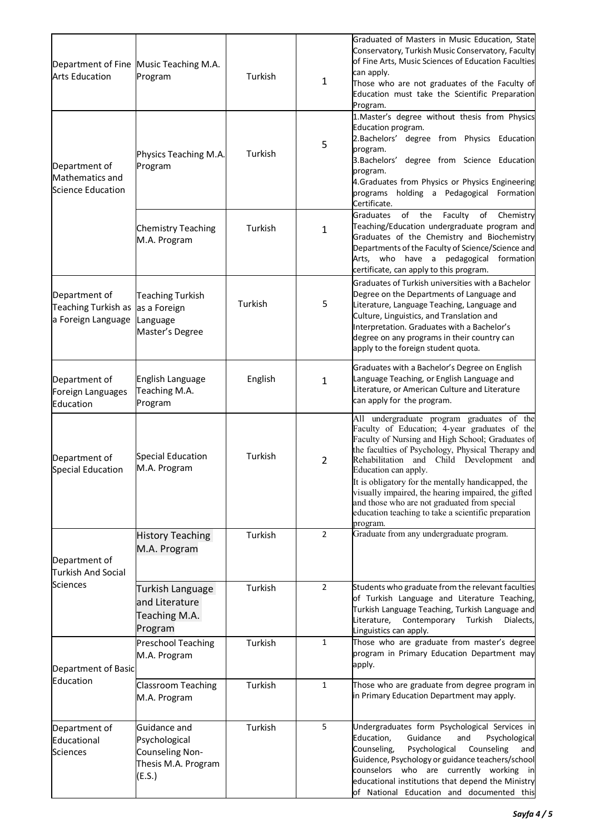| <b>Arts Education</b>                                      | Department of Fine Music Teaching M.A.<br>Program                                 | Turkish | 1              | Graduated of Masters in Music Education, State<br>Conservatory, Turkish Music Conservatory, Faculty<br>of Fine Arts, Music Sciences of Education Faculties<br>can apply.<br>Those who are not graduates of the Faculty of<br>Education must take the Scientific Preparation<br>Program.                                                                                                                                                                                                                        |
|------------------------------------------------------------|-----------------------------------------------------------------------------------|---------|----------------|----------------------------------------------------------------------------------------------------------------------------------------------------------------------------------------------------------------------------------------------------------------------------------------------------------------------------------------------------------------------------------------------------------------------------------------------------------------------------------------------------------------|
| Department of<br>Mathematics and<br>Science Education      | Physics Teaching M.A.<br>Program                                                  | Turkish | 5              | 1. Master's degree without thesis from Physics<br>Education program.<br>2.Bachelors' degree from Physics Education<br>program.<br>3. Bachelors' degree from Science Education<br>program.<br>4.Graduates from Physics or Physics Engineering<br>programs holding a Pedagogical<br>Formation<br>Certificate.                                                                                                                                                                                                    |
|                                                            | <b>Chemistry Teaching</b><br>M.A. Program                                         | Turkish | 1              | of<br>of<br><b>Graduates</b><br>the<br>Faculty<br>Chemistry<br>Teaching/Education undergraduate program and<br>Graduates of the Chemistry and Biochemistry<br>Departments of the Faculty of Science/Science and<br>pedagogical<br>Arts,<br>who have a<br>formation<br>certificate, can apply to this program.                                                                                                                                                                                                  |
| Department of<br>Teaching Turkish as<br>a Foreign Language | <b>Teaching Turkish</b><br>as a Foreign<br>Language<br>Master's Degree            | Turkish | 5              | Graduates of Turkish universities with a Bachelor<br>Degree on the Departments of Language and<br>Literature, Language Teaching, Language and<br>Culture, Linguistics, and Translation and<br>Interpretation. Graduates with a Bachelor's<br>degree on any programs in their country can<br>apply to the foreign student quota.                                                                                                                                                                                |
| Department of<br>Foreign Languages<br>Education            | English Language<br>Teaching M.A.<br>Program                                      | English | 1              | Graduates with a Bachelor's Degree on English<br>Language Teaching, or English Language and<br>Literature, or American Culture and Literature<br>can apply for the program.                                                                                                                                                                                                                                                                                                                                    |
| Department of<br>Special Education                         | Special Education<br>M.A. Program                                                 | Turkish | 2              | All undergraduate program graduates of the<br>Faculty of Education; 4-year graduates of the<br>Faculty of Nursing and High School; Graduates of<br>the faculties of Psychology, Physical Therapy and<br>Rehabilitation<br>and Child Development<br>and<br>Education can apply.<br>It is obligatory for the mentally handicapped, the<br>visually impaired, the hearing impaired, the gifted<br>and those who are not graduated from special<br>education teaching to take a scientific preparation<br>program. |
| Department of<br>Turkish And Social<br>Sciences            | <b>History Teaching</b><br>M.A. Program                                           | Turkish | $\overline{2}$ | Graduate from any undergraduate program.                                                                                                                                                                                                                                                                                                                                                                                                                                                                       |
|                                                            | Turkish Language<br>and Literature<br>Teaching M.A.<br>Program                    | Turkish | 2              | Students who graduate from the relevant faculties<br>of Turkish Language and Literature Teaching,<br>Turkish Language Teaching, Turkish Language and<br>Dialects,<br>Literature,<br>Contemporary<br>Turkish<br>Linguistics can apply.                                                                                                                                                                                                                                                                          |
| Department of Basic<br>Education                           | <b>Preschool Teaching</b><br>M.A. Program                                         | Turkish | 1              | Those who are graduate from master's degree<br>program in Primary Education Department may<br>apply.                                                                                                                                                                                                                                                                                                                                                                                                           |
|                                                            | Classroom Teaching<br>M.A. Program                                                | Turkish | $\mathbf{1}$   | Those who are graduate from degree program in<br>in Primary Education Department may apply.                                                                                                                                                                                                                                                                                                                                                                                                                    |
| Department of<br>Educational<br>Sciences                   | Guidance and<br>Psychological<br>Counseling Non-<br>Thesis M.A. Program<br>(E.S.) | Turkish | 5              | Undergraduates form Psychological Services in<br>Education,<br>Psychological<br>Guidance<br>and<br>Counseling,<br>Psychological<br>Counseling<br>and<br>Guidence, Psychology or guidance teachers/school<br>counselors who are currently working in<br>educational institutions that depend the Ministry<br>of National Education and documented this                                                                                                                                                          |